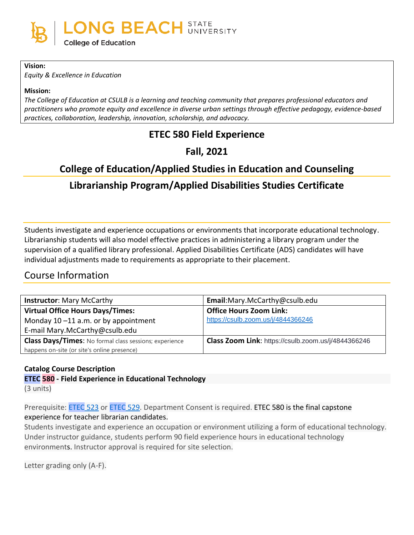

#### **Vision:**

*Equity & Excellence in Education*

#### **Mission:**

*The College of Education at CSULB is a learning and teaching community that prepares professional educators and practitioners who promote equity and excellence in diverse urban settings through effective pedagogy, evidence-based practices, collaboration, leadership, innovation, scholarship, and advocacy.*

# **ETEC 580 Field Experience**

# **Fall, 2021**

# **College of Education/Applied Studies in Education and Counseling**

# **Librarianship Program/Applied Disabilities Studies Certificate**

Students investigate and experience occupations or environments that incorporate educational technology. Librarianship students will also model effective practices in administering a library program under the supervision of a qualified library professional. Applied Disabilities Certificate (ADS) candidates will have individual adjustments made to requirements as appropriate to their placement.

# Course Information

| <b>Instructor: Mary McCarthy</b>                              | Email:Mary.McCarthy@csulb.edu                       |
|---------------------------------------------------------------|-----------------------------------------------------|
| <b>Virtual Office Hours Days/Times:</b>                       | <b>Office Hours Zoom Link:</b>                      |
| Monday $10 - 11$ a.m. or by appointment                       | https://csulb.zoom.us/j/4844366246                  |
| E-mail Mary.McCarthy@csulb.edu                                |                                                     |
| <b>Class Days/Times:</b> No formal class sessions; experience | Class Zoom Link: https://csulb.zoom.us/j/4844366246 |
| happens on-site (or site's online presence)                   |                                                     |

**Catalog Course Description ETEC 580 - Field Experience in Educational Technology** (3 units)

Prerequisite: [ETEC](http://catalog.csulb.edu/search_advanced.php?cur_cat_oid=5&search_database=Search&search_db=Search&cpage=1&ecpage=1&ppage=1&spage=1&tpage=1&location=33&filter%5Bkeyword%5D=ETEC+580#tt1362) 523 or ETEC 529. Department Consent is required. ETEC 580 is the final capstone experience for teacher librarian candidates.

Students investigate and experience an occupation or environment utilizing a form of educational technology. Under instructor guidance, students perform 90 field experience hours in educational technology environments. Instructor approval is required for site selection.

Letter grading only (A-F).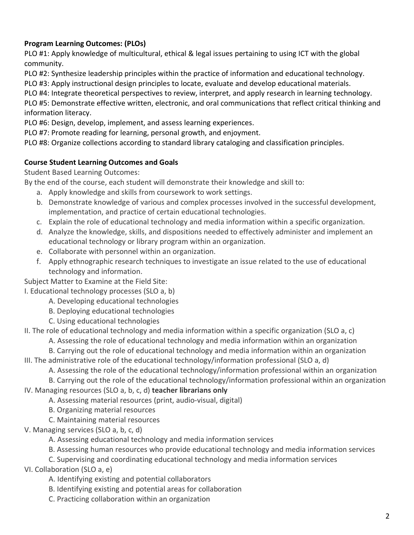# **Program Learning Outcomes: (PLOs)**

PLO #1: Apply knowledge of multicultural, ethical & legal issues pertaining to using ICT with the global community.

PLO #2: Synthesize leadership principles within the practice of information and educational technology.

PLO #3: Apply instructional design principles to locate, evaluate and develop educational materials.

PLO #4: Integrate theoretical perspectives to review, interpret, and apply research in learning technology.

PLO #5: Demonstrate effective written, electronic, and oral communications that reflect critical thinking and information literacy.

PLO #6: Design, develop, implement, and assess learning experiences.

PLO #7: Promote reading for learning, personal growth, and enjoyment.

PLO #8: Organize collections according to standard library cataloging and classification principles.

## **Course Student Learning Outcomes and Goals**

Student Based Learning Outcomes:

By the end of the course, each student will demonstrate their knowledge and skill to:

- a. Apply knowledge and skills from coursework to work settings.
- b. Demonstrate knowledge of various and complex processes involved in the successful development, implementation, and practice of certain educational technologies.
- c. Explain the role of educational technology and media information within a specific organization.
- d. Analyze the knowledge, skills, and dispositions needed to effectively administer and implement an educational technology or library program within an organization.
- e. Collaborate with personnel within an organization.
- f. Apply ethnographic research techniques to investigate an issue related to the use of educational technology and information.

Subject Matter to Examine at the Field Site:

I. Educational technology processes (SLO a, b)

A. Developing educational technologies

B. Deploying educational technologies

C. Using educational technologies

II. The role of educational technology and media information within a specific organization (SLO a, c)

A. Assessing the role of educational technology and media information within an organization

- B. Carrying out the role of educational technology and media information within an organization
- III. The administrative role of the educational technology/information professional (SLO a, d)

A. Assessing the role of the educational technology/information professional within an organization

B. Carrying out the role of the educational technology/information professional within an organization

IV. Managing resources (SLO a, b, c, d) **teacher librarians only**

A. Assessing material resources (print, audio-visual, digital)

B. Organizing material resources

- C. Maintaining material resources
- V. Managing services (SLO a, b, c, d)
	- A. Assessing educational technology and media information services
	- B. Assessing human resources who provide educational technology and media information services
	- C. Supervising and coordinating educational technology and media information services

## VI. Collaboration (SLO a, e)

- A. Identifying existing and potential collaborators
- B. Identifying existing and potential areas for collaboration
- C. Practicing collaboration within an organization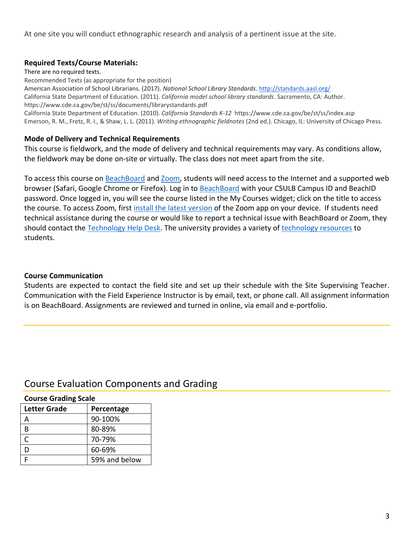At one site you will conduct ethnographic research and analysis of a pertinent issue at the site.

### **Required Texts/Course Materials:**

There are no required texts.

Recommended Texts (as appropriate for the position) American Association of School Librarians. (2017). *National School Library Standards*[. http://standards.aasl.org/](http://standards.aasl.org/)

California State Department of Education. (2011). *California model school library standards*. Sacramento, CA: Author. https://www.cde.ca.gov/be/st/ss/documents/librarystandards.pdf

California State Department of Education. (2010). *California Standards K-12* https://www.cde.ca.gov/be/st/ss/index.asp Emerson, R. M., Fretz, R. I., & Shaw, L. L. (2011). *Writing ethnographic fieldnotes* (2nd ed.). Chicago, IL: University of Chicago Press.

### **Mode of Delivery and Technical Requirements**

This course is fieldwork, and the mode of delivery and technical requirements may vary. As conditions allow, the fieldwork may be done on-site or virtually. The class does not meet apart from the site.

To access this course on [BeachBoard](https://bbcsulb.desire2learn.com/d2l/home) and [Zoom,](https://csulb.zoom.us/meeting) students will need access to the Internet and a supported web browser (Safari, Google Chrome or Firefox). Log in to [BeachBoard](https://bbcsulb.desire2learn.com/) with your CSULB Campus ID and BeachID password. Once logged in, you will see the course listed in the My Courses widget; click on the title to access the course. To access Zoom, first [install the latest version](https://zoom.us/download) of the Zoom app on your device. If students need technical assistance during the course or would like to report a technical issue with BeachBoard or Zoom, they should contact the [Technology Help Desk.](https://www.csulb.edu/academic-technology-services/academic-technology-resources-for-students) The university provides a variety of [technology resources](https://www.csulb.edu/academic-technology-services/academic-technology-resources-for-students) to students.

## **Course Communication**

Students are expected to contact the field site and set up their schedule with the Site Supervising Teacher. Communication with the Field Experience Instructor is by email, text, or phone call. All assignment information is on BeachBoard. Assignments are reviewed and turned in online, via email and e-portfolio.

# Course Evaluation Components and Grading

### **Course Grading Scale**

| Letter Grade | Percentage    |
|--------------|---------------|
|              | 90-100%       |
|              | 80-89%        |
|              | 70-79%        |
|              | 60-69%        |
|              | 59% and below |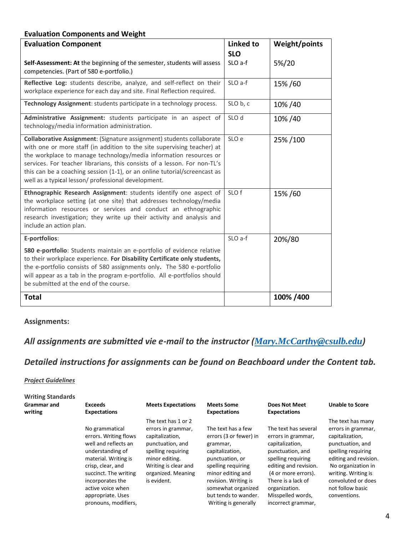### **Evaluation Components and Weight**

| <b>Evaluation Component</b>                                                                                                                                                                                                                                                                                                                                                                                                            | <b>Linked to</b><br><b>SLO</b> | <b>Weight/points</b> |
|----------------------------------------------------------------------------------------------------------------------------------------------------------------------------------------------------------------------------------------------------------------------------------------------------------------------------------------------------------------------------------------------------------------------------------------|--------------------------------|----------------------|
| Self-Assessment: At the beginning of the semester, students will assess<br>competencies. (Part of 580 e-portfolio.)                                                                                                                                                                                                                                                                                                                    | SLO a-f                        | 5%/20                |
| Reflective Log: students describe, analyze, and self-reflect on their<br>workplace experience for each day and site. Final Reflection required.                                                                                                                                                                                                                                                                                        | SLO a-f                        | 15%/60               |
| Technology Assignment: students participate in a technology process.                                                                                                                                                                                                                                                                                                                                                                   | SLO b, c                       | 10% / 40             |
| Administrative Assignment: students participate in an aspect of<br>technology/media information administration.                                                                                                                                                                                                                                                                                                                        | SLO d                          | 10% / 40             |
| Collaborative Assignment: (Signature assignment) students collaborate<br>with one or more staff (in addition to the site supervising teacher) at<br>the workplace to manage technology/media information resources or<br>services. For teacher librarians, this consists of a lesson. For non-TL's<br>this can be a coaching session (1-1), or an online tutorial/screencast as<br>well as a typical lesson/ professional development. | SLO e                          | 25%/100              |
| Ethnographic Research Assignment: students identify one aspect of<br>the workplace setting (at one site) that addresses technology/media<br>information resources or services and conduct an ethnographic<br>research investigation; they write up their activity and analysis and<br>include an action plan.                                                                                                                          | SLO f                          | 15%/60               |
| E-portfolios:                                                                                                                                                                                                                                                                                                                                                                                                                          | SLO a-f                        | 20%/80               |
| 580 e-portfolio: Students maintain an e-portfolio of evidence relative<br>to their workplace experience. For Disability Certificate only students,<br>the e-portfolio consists of 580 assignments only. The 580 e-portfolio<br>will appear as a tab in the program e-portfolio. All e-portfolios should<br>be submitted at the end of the course.                                                                                      |                                |                      |
| <b>Total</b>                                                                                                                                                                                                                                                                                                                                                                                                                           |                                | 100% /400            |

### **Assignments:**

# *All assignments are submitted vie e-mail to the instructor ([Mary.McCarthy@csulb.edu](mailto:Mary.McCarthy@csulb.edu))*

# *Detailed instructions for assignments can be found on Beachboard under the Content tab.*

#### *Project Guidelines*

| The text has 1 or 2<br>The text has a few<br>The text has several<br>No grammatical<br>errors in grammar,<br>errors (3 or fewer) in<br>errors. Writing flows<br>capitalization,<br>errors in grammar,                                                                                                                                                                                                                                                                                                                                                                                                                                                                                                                   | <b>Unable to Score</b>                                                                                                                                                                                                               |
|-------------------------------------------------------------------------------------------------------------------------------------------------------------------------------------------------------------------------------------------------------------------------------------------------------------------------------------------------------------------------------------------------------------------------------------------------------------------------------------------------------------------------------------------------------------------------------------------------------------------------------------------------------------------------------------------------------------------------|--------------------------------------------------------------------------------------------------------------------------------------------------------------------------------------------------------------------------------------|
| well and reflects an<br>punctuation, and<br>capitalization,<br>grammar,<br>understanding of<br>spelling requiring<br>punctuation, and<br>capitalization,<br>material. Writing is<br>minor editing.<br>spelling requiring<br>punctuation, or<br>crisp, clear, and<br>Writing is clear and<br>editing and revision.<br>spelling requiring<br>organized. Meaning<br>minor editing and<br>succinct. The writing<br>(4 or more errors).<br>is evident.<br>revision. Writing is<br>There is a lack of<br>incorporates the<br>active voice when<br>somewhat organized<br>organization.<br>but tends to wander.<br>Misspelled words,<br>appropriate. Uses<br>pronouns, modifiers,<br>Writing is generally<br>incorrect grammar, | The text has many<br>errors in grammar,<br>capitalization,<br>punctuation, and<br>spelling requiring<br>editing and revision.<br>No organization in<br>writing. Writing is<br>convoluted or does<br>not follow basic<br>conventions. |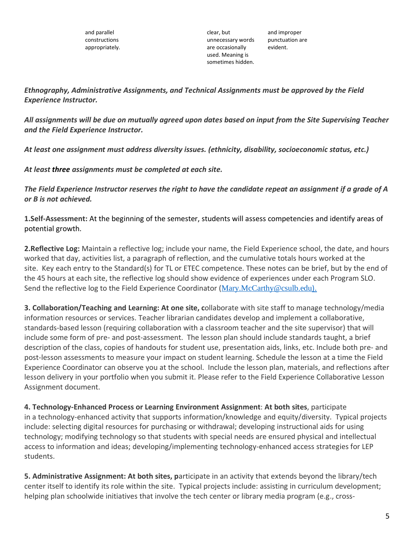clear, but unnecessary words are occasionally used. Meaning is sometimes hidden.

and improper punctuation are evident.

*Ethnography, Administrative Assignments, and Technical Assignments must be approved by the Field Experience Instructor.* 

All assignments will be due on mutually agreed upon dates based on input from the Site Supervising Teacher *and the Field Experience Instructor.*

*At least one assignment must address diversity issues. (ethnicity, disability, socioeconomic status, etc.)*

*At least three assignments must be completed at each site.*

The Field Experience Instructor reserves the right to have the candidate repeat an assignment if a grade of A *or B is not achieved.*

**1.Self-Assessment:** At the beginning of the semester, students will assess competencies and identify areas of potential growth.

**2.Reflective Log:** Maintain a reflective log; include your name, the Field Experience school, the date, and hours worked that day, activities list, a paragraph of reflection, and the cumulative totals hours worked at the site. Key each entry to the Standard(s) for TL or ETEC competence. These notes can be brief, but by the end of the 45 hours at each site, the reflective log should show evidence of experiences under each Program SLO. Send the reflective log to the Field Experience Coordinator ([Mary.McCarthy@csulb.edu](mailto:Mary.McCarthy@csulb.edu)).

**3. Collaboration/Teaching and Learning: At one site, c**ollaborate with site staff to manage technology/media information resources or services. Teacher librarian candidates develop and implement a collaborative, standards-based lesson (requiring collaboration with a classroom teacher and the site supervisor) that will include some form of pre- and post-assessment. The lesson plan should include standards taught, a brief description of the class, copies of handouts for student use, presentation aids, links, etc. Include both pre- and post-lesson assessments to measure your impact on student learning. Schedule the lesson at a time the Field Experience Coordinator can observe you at the school. Include the lesson plan, materials, and reflections after lesson delivery in your portfolio when you submit it. Please refer to the Field Experience Collaborative Lesson Assignment document.

**4. Technology-Enhanced Process or Learning Environment Assignment**: **At both sites**, participate in a technology-enhanced activity that supports information/knowledge and equity/diversity. Typical projects include: selecting digital resources for purchasing or withdrawal; developing instructional aids for using technology; modifying technology so that students with special needs are ensured physical and intellectual access to information and ideas; developing/implementing technology-enhanced access strategies for LEP students.

**5. Administrative Assignment: At both sites, p**articipate in an activity that extends beyond the library/tech center itself to identify its role within the site. Typical projects include: assisting in curriculum development; helping plan schoolwide initiatives that involve the tech center or library media program (e.g., cross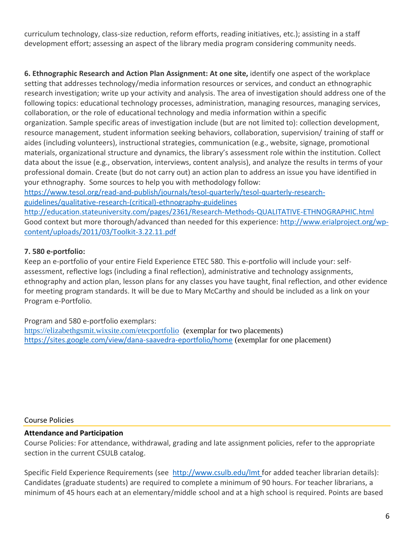curriculum technology, class-size reduction, reform efforts, reading initiatives, etc.); assisting in a staff development effort; assessing an aspect of the library media program considering community needs.

**6. Ethnographic Research and Action Plan Assignment: At one site,** identify one aspect of the workplace setting that addresses technology/media information resources or services, and conduct an ethnographic research investigation; write up your activity and analysis. The area of investigation should address one of the following topics: educational technology processes, administration, managing resources, managing services, collaboration, or the role of educational technology and media information within a specific organization. Sample specific areas of investigation include (but are not limited to): collection development, resource management, student information seeking behaviors, collaboration, supervision/ training of staff or aides (including volunteers), instructional strategies, communication (e.g., website, signage, promotional materials, organizational structure and dynamics, the library's assessment role within the institution. Collect data about the issue (e.g., observation, interviews, content analysis), and analyze the results in terms of your professional domain. Create (but do not carry out) an action plan to address an issue you have identified in your ethnography. Some sources to help you with methodology follow:

[https://www.tesol.org/read-and-publish/journals/tesol-quarterly/tesol-quarterly-research](https://www.tesol.org/read-and-publish/journals/tesol-quarterly/tesol-quarterly-research-guidelines/qualitative-research-(critical)-ethnography-guidelines)[guidelines/qualitative-research-\(critical\)-ethnography-guidelines](https://www.tesol.org/read-and-publish/journals/tesol-quarterly/tesol-quarterly-research-guidelines/qualitative-research-(critical)-ethnography-guidelines)

<http://education.stateuniversity.com/pages/2361/Research-Methods-QUALITATIVE-ETHNOGRAPHIC.html> Good context but more thorough/advanced than needed for this experience: [http://www.erialproject.org/wp](http://www.erialproject.org/wp-content/uploads/2011/03/Toolkit-3.22.11.pdf)[content/uploads/2011/03/Toolkit-3.22.11.pdf](http://www.erialproject.org/wp-content/uploads/2011/03/Toolkit-3.22.11.pdf)

## **7. 580 e-portfolio:**

Keep an e-portfolio of your entire Field Experience ETEC 580. This e-portfolio will include your: selfassessment, reflective logs (including a final reflection), administrative and technology assignments, ethnography and action plan, lesson plans for any classes you have taught, final reflection, and other evidence for meeting program standards. It will be due to Mary McCarthy and should be included as a link on your Program e-Portfolio.

Program and 580 e-portfolio exemplars: <https://elizabethgsmit.wixsite.com/etecportfolio> (exemplar for two placements) [https://sites.google.com/view/dana-saavedra-eportfolio/home](https://nam12.safelinks.protection.outlook.com/?url=https%3A%2F%2Fsites.google.com%2Fview%2Fdana-saavedra-eportfolio%2Fhome&data=04%7C01%7CMary.McCarthy%40csulb.edu%7C53680ea171b147cc3aad08d94d80d256%7Cd175679bacd34644be82af041982977a%7C0%7C0%7C637626037951005243%7CUnknown%7CTWFpbGZsb3d8eyJWIjoiMC4wLjAwMDAiLCJQIjoiV2luMzIiLCJBTiI6Ik1haWwiLCJXVCI6Mn0%3D%7C1000&sdata=MxG4HCuUtfc7LZ3DoqqWphgpsfp8pqenNuGoLa7ZOLA%3D&reserved=0) (exemplar for one placement)

### Course Policies

### **Attendance and Participation**

Course Policies: For attendance, withdrawal, grading and late assignment policies, refer to the appropriate section in the current CSULB catalog.

Specific Field Experience Requirements (see [http://www.csulb.edu/lmt](http://www.csulb.edu/lmt ) for added teacher librarian details): Candidates (graduate students) are required to complete a minimum of 90 hours. For teacher librarians, a minimum of 45 hours each at an elementary/middle school and at a high school is required. Points are based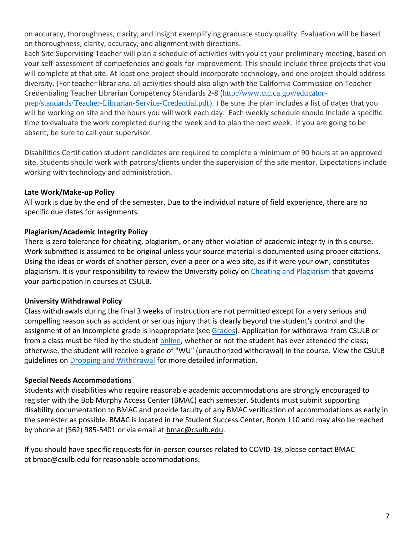on accuracy, thoroughness, clarity, and insight exemplifying graduate study quality. Evaluation will be based on thoroughness, clarity, accuracy, and alignment with directions.

Each Site Supervising Teacher will plan a schedule of activities with you at your preliminary meeting, based on your self-assessment of competencies and goals for improvement. This should include three projects that you will complete at that site. At least one project should incorporate technology, and one project should address diversity. (For teacher librarians, all activities should also align with the California Commission on Teacher Credentialing Teacher Librarian Competency Standards 2-8 ([http://www.ctc.ca.gov/educator-](http://www.ctc.ca.gov/educator-prep/standards/Teacher-Librarian-Service-Credential.pdf). )

[prep/standards/Teacher-Librarian-Service-Credential.pdf\).](http://www.ctc.ca.gov/educator-prep/standards/Teacher-Librarian-Service-Credential.pdf). ) ) Be sure the plan includes a list of dates that you will be working on site and the hours you will work each day. Each weekly schedule should include a specific time to evaluate the work completed during the week and to plan the next week. If you are going to be absent, be sure to call your supervisor.

Disabilities Certification student candidates are required to complete a minimum of 90 hours at an approved site. Students should work with patrons/clients under the supervision of the site mentor. Expectations include working with technology and administration.

### **Late Work/Make-up Policy**

All work is due by the end of the semester. Due to the individual nature of field experience, there are no specific due dates for assignments.

## **Plagiarism/Academic Integrity Policy**

There is zero tolerance for cheating, plagiarism, or any other violation of academic integrity in this course. Work submitted is assumed to be original unless your source material is documented using proper citations. Using the ideas or words of another person, even a peer or a web site, as if it were your own, constitutes plagiarism. It is your responsibility to review the University policy on [Cheating and Plagiarism](http://catalog.csulb.edu/content.php?catoid=5&navoid=369#cheating-and-plagiarism) that governs your participation in courses at CSULB.

### **University Withdrawal Policy**

Class withdrawals during the final 3 weeks of instruction are not permitted except for a very serious and compelling reason such as accident or serious injury that is clearly beyond the student's control and the assignment of an Incomplete grade is inappropriate (see [Grades\)](http://www.csulb.edu/depts/enrollment/student_academic_records/grading.html). Application for withdrawal from CSULB or from a class must be filed by the student [online,](https://www.csulb.edu/student-records/dropping-and-withdrawing) whether or not the student has ever attended the class; otherwise, the student will receive a grade of "WU" (unauthorized withdrawal) in the course. View the CSULB guidelines on [Dropping and Withdrawal](https://www.csulb.edu/student-records/dropping-and-withdrawing#:~:text=Policy,after%20separation%20from%20the%20university.) for more detailed information.

### **Special Needs Accommodations**

Students with disabilities who require reasonable academic accommodations are strongly encouraged to register with the Bob Murphy Access Center (BMAC) each semester. Students must submit supporting disability documentation to BMAC and provide faculty of any BMAC verification of accommodations as early in the semester as possible. BMAC is located in the Student Success Center, Room 110 and may also be reached by phone at (562) 985-5401 or via email at [bmac@csulb.edu.](mailto:bmac@csulb.edu)

If you should have specific requests for in-person courses related to COVID-19, please contact BMAC at [bmac@csulb.edu](mailto:bmac@csulb.edu) for reasonable accommodations.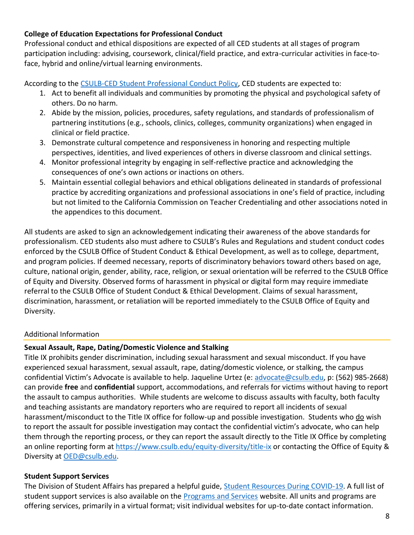### **College of Education Expectations for Professional Conduct**

Professional conduct and ethical dispositions are expected of all CED students at all stages of program participation including: advising, coursework, clinical/field practice, and extra-curricular activities in face-toface, hybrid and online/virtual learning environments.

According to the [CSULB-CED Student Professional Conduct Policy,](https://www.csulb.edu/sites/default/files/u48211/final-ced_student_professional_conduct_policy-1-2021.pdf) CED students are expected to:

- 1. Act to benefit all individuals and communities by promoting the physical and psychological safety of others. Do no harm.
- 2. Abide by the mission, policies, procedures, safety regulations, and standards of professionalism of partnering institutions (e.g., schools, clinics, colleges, community organizations) when engaged in clinical or field practice.
- 3. Demonstrate cultural competence and responsiveness in honoring and respecting multiple perspectives, identities, and lived experiences of others in diverse classroom and clinical settings.
- 4. Monitor professional integrity by engaging in self-reflective practice and acknowledging the consequences of one's own actions or inactions on others.
- 5. Maintain essential collegial behaviors and ethical obligations delineated in standards of professional practice by accrediting organizations and professional associations in one's field of practice, including but not limited to the California Commission on Teacher Credentialing and other associations noted in the appendices to this document.

All students are asked to sign an acknowledgement indicating their awareness of the above standards for professionalism. CED students also must adhere to CSULB's Rules and Regulations and student conduct codes enforced by the CSULB Office of Student Conduct & Ethical Development, as well as to college, department, and program policies. If deemed necessary, reports of discriminatory behaviors toward others based on age, culture, national origin, gender, ability, race, religion, or sexual orientation will be referred to the CSULB Office of Equity and Diversity. Observed forms of harassment in physical or digital form may require immediate referral to the CSULB Office of Student Conduct & Ethical Development. Claims of sexual harassment, discrimination, harassment, or retaliation will be reported immediately to the CSULB Office of Equity and Diversity.

## Additional Information

## **Sexual Assault, Rape, Dating/Domestic Violence and Stalking**

Title IX prohibits gender discrimination, including sexual harassment and sexual misconduct. If you have experienced sexual harassment, sexual assault, rape, dating/domestic violence, or stalking, the campus confidential Victim's Advocate is available to help. Jaqueline Urtez (e: [advocate@csulb.edu,](mailto:advocate@csulb.edu) p: (562) 985-2668) can provide **free** and **confidential** support, accommodations, and referrals for victims without having to report the assault to campus authorities. While students are welcome to discuss assaults with faculty, both faculty and teaching assistants are mandatory reporters who are required to report all incidents of sexual harassment/misconduct to the Title IX office for follow-up and possible investigation. Students who do wish to report the assault for possible investigation may contact the confidential victim's advocate, who can help them through the reporting process, or they can report the assault directly to the Title IX Office by completing an online reporting form at<https://www.csulb.edu/equity-diversity/title-ix> or contacting the Office of Equity & Diversity at [OED@csulb.edu.](mailto:OED@csulb.edu)

## **Student Support Services**

The Division of Student Affairs has prepared a helpful guide, [Student Resources During COVID-19.](https://rb.gy/ql7w8j) A full list of student support services is also available on the [Programs and Services](http://web.csulb.edu/divisions/students/programs.html) website. All units and programs are offering services, primarily in a virtual format; visit individual websites for up-to-date contact information.